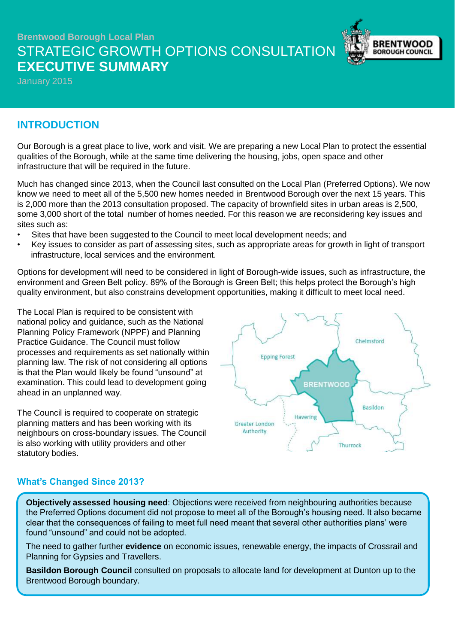# **Brentwood Borough Local Plan** STRATEGIC GROWTH OPTIONS CONSULTATION **EXECUTIVE SUMMARY**



January 2015

## **INTRODUCTION**

Our Borough is a great place to live, work and visit. We are preparing a new Local Plan to protect the essential qualities of the Borough, while at the same time delivering the housing, jobs, open space and other infrastructure that will be required in the future.

Much has changed since 2013, when the Council last consulted on the Local Plan (Preferred Options). We now know we need to meet all of the 5,500 new homes needed in Brentwood Borough over the next 15 years. This is 2,000 more than the 2013 consultation proposed. The capacity of brownfield sites in urban areas is 2,500, some 3,000 short of the total number of homes needed. For this reason we are reconsidering key issues and sites such as:

- Sites that have been suggested to the Council to meet local development needs; and
- Key issues to consider as part of assessing sites, such as appropriate areas for growth in light of transport infrastructure, local services and the environment.

Options for development will need to be considered in light of Borough-wide issues, such as infrastructure, the environment and Green Belt policy. 89% of the Borough is Green Belt; this helps protect the Borough's high quality environment, but also constrains development opportunities, making it difficult to meet local need.

The Local Plan is required to be consistent with national policy and guidance, such as the National Planning Policy Framework (NPPF) and Planning Practice Guidance. The Council must follow processes and requirements as set nationally within planning law. The risk of not considering all options is that the Plan would likely be found "unsound" at examination. This could lead to development going ahead in an unplanned way.

The Council is required to cooperate on strategic planning matters and has been working with its neighbours on cross-boundary issues. The Council is also working with utility providers and other statutory bodies.



### **What's Changed Since 2013?**

**Objectively assessed housing need**: Objections were received from neighbouring authorities because the Preferred Options document did not propose to meet all of the Borough's housing need. It also became clear that the consequences of failing to meet full need meant that several other authorities plans' were found "unsound" and could not be adopted.

The need to gather further **evidence** on economic issues, renewable energy, the impacts of Crossrail and Planning for Gypsies and Travellers.

**Basildon Borough Council** consulted on proposals to allocate land for development at Dunton up to the Brentwood Borough boundary.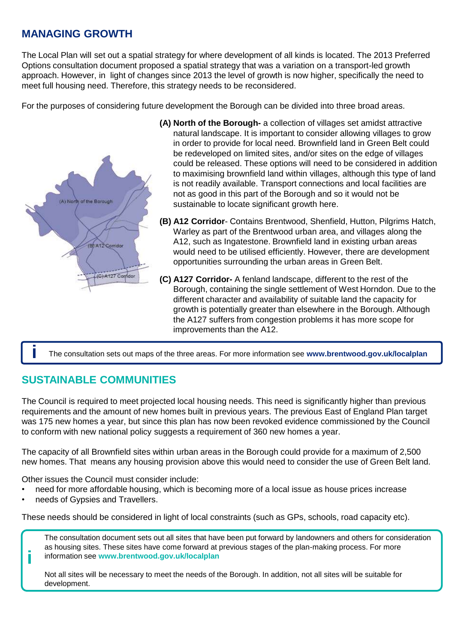# **MANAGING GROWTH**

The Local Plan will set out a spatial strategy for where development of all kinds is located. The 2013 Preferred Options consultation document proposed a spatial strategy that was a variation on a transport-led growth approach. However, in light of changes since 2013 the level of growth is now higher, specifically the need to meet full housing need. Therefore, this strategy needs to be reconsidered.

For the purposes of considering future development the Borough can be divided into three broad areas.



- **(A) North of the Borough-** a collection of villages set amidst attractive natural landscape. It is important to consider allowing villages to grow in order to provide for local need. Brownfield land in Green Belt could be redeveloped on limited sites, and/or sites on the edge of villages could be released. These options will need to be considered in addition to maximising brownfield land within villages, although this type of land is not readily available. Transport connections and local facilities are not as good in this part of the Borough and so it would not be sustainable to locate significant growth here.
- **(B) A12 Corridor** Contains Brentwood, Shenfield, Hutton, Pilgrims Hatch, Warley as part of the Brentwood urban area, and villages along the A12, such as Ingatestone. Brownfield land in existing urban areas would need to be utilised efficiently. However, there are development opportunities surrounding the urban areas in Green Belt.
- **(C) A127 Corridor-** A fenland landscape, different to the rest of the Borough, containing the single settlement of West Horndon. Due to the different character and availability of suitable land the capacity for growth is potentially greater than elsewhere in the Borough. Although the A127 suffers from congestion problems it has more scope for improvements than the A12.

**i** The consultation sets out maps of the three areas. For more information see **www.brentwood.gov.uk/localplan**

# **SUSTAINABLE COMMUNITIES**

The Council is required to meet projected local housing needs. This need is significantly higher than previous requirements and the amount of new homes built in previous years. The previous East of England Plan target was 175 new homes a year, but since this plan has now been revoked evidence commissioned by the Council to conform with new national policy suggests a requirement of 360 new homes a year.

The capacity of all Brownfield sites within urban areas in the Borough could provide for a maximum of 2,500 new homes. That means any housing provision above this would need to consider the use of Green Belt land.

Other issues the Council must consider include:

- need for more affordable housing, which is becoming more of a local issue as house prices increase
- needs of Gypsies and Travellers.

**i**

These needs should be considered in light of local constraints (such as GPs, schools, road capacity etc).

The consultation document sets out all sites that have been put forward by landowners and others for consideration as housing sites. These sites have come forward at previous stages of the plan-making process. For more information see **www.brentwood.gov.uk/localplan**

Not all sites will be necessary to meet the needs of the Borough. In addition, not all sites will be suitable for development.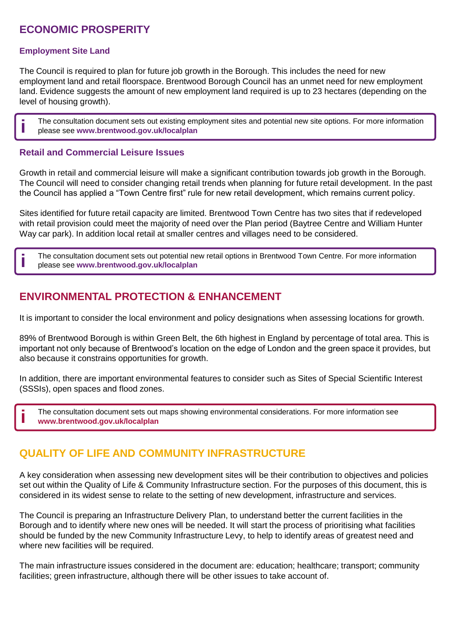# **ECONOMIC PROSPERITY**

#### **Employment Site Land**

The Council is required to plan for future job growth in the Borough. This includes the need for new employment land and retail floorspace. Brentwood Borough Council has an unmet need for new employment land. Evidence suggests the amount of new employment land required is up to 23 hectares (depending on the level of housing growth).

The consultation document sets out existing employment sites and potential new site options. For more information **i** please see **www.brentwood.gov.uk/localplan**

#### **Retail and Commercial Leisure Issues**

Growth in retail and commercial leisure will make a significant contribution towards job growth in the Borough. The Council will need to consider changing retail trends when planning for future retail development. In the past the Council has applied a "Town Centre first" rule for new retail development, which remains current policy.

Sites identified for future retail capacity are limited. Brentwood Town Centre has two sites that if redeveloped with retail provision could meet the majority of need over the Plan period (Baytree Centre and William Hunter Way car park). In addition local retail at smaller centres and villages need to be considered.

The consultation document sets out potential new retail options in Brentwood Town Centre. For more information **i** please see **www.brentwood.gov.uk/localplan**

## **ENVIRONMENTAL PROTECTION & ENHANCEMENT**

It is important to consider the local environment and policy designations when assessing locations for growth.

89% of Brentwood Borough is within Green Belt, the 6th highest in England by percentage of total area. This is important not only because of Brentwood's location on the edge of London and the green space it provides, but also because it constrains opportunities for growth.

In addition, there are important environmental features to consider such as Sites of Special Scientific Interest (SSSIs), open spaces and flood zones.

The consultation document sets out maps showing environmental considerations. For more information see **i www.brentwood.gov.uk/localplan**

### **QUALITY OF LIFE AND COMMUNITY INFRASTRUCTURE**

A key consideration when assessing new development sites will be their contribution to objectives and policies set out within the Quality of Life & Community Infrastructure section. For the purposes of this document, this is considered in its widest sense to relate to the setting of new development, infrastructure and services.

The Council is preparing an Infrastructure Delivery Plan, to understand better the current facilities in the Borough and to identify where new ones will be needed. It will start the process of prioritising what facilities should be funded by the new Community Infrastructure Levy, to help to identify areas of greatest need and where new facilities will be required.

The main infrastructure issues considered in the document are: education; healthcare; transport; community facilities; green infrastructure, although there will be other issues to take account of.